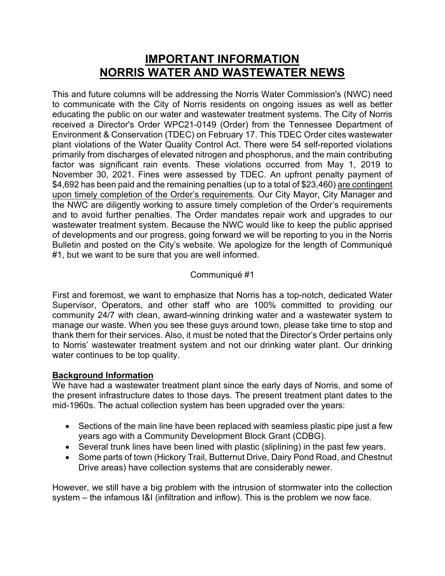# **IMPORTANT INFORMATION NORRIS WATER AND WASTEWATER NEWS**

This and future columns will be addressing the Norris Water Commission's (NWC) need to communicate with the City of Norris residents on ongoing issues as well as better educating the public on our water and wastewater treatment systems. The City of Norris received a Director's Order WPC21-0149 (Order) from the Tennessee Department of Environment & Conservation (TDEC) on February 17. This TDEC Order cites wastewater plant violations of the Water Quality Control Act. There were 54 self-reported violations primarily from discharges of elevated nitrogen and phosphorus, and the main contributing factor was significant rain events. These violations occurred from May 1, 2019 to November 30, 2021. Fines were assessed by TDEC. An upfront penalty payment of \$4,692 has been paid and the remaining penalties (up to a total of \$23,460) are contingent upon timely completion of the Order's requirements. Our City Mayor, City Manager and the NWC are diligently working to assure timely completion of the Order's requirements and to avoid further penalties. The Order mandates repair work and upgrades to our wastewater treatment system. Because the NWC would like to keep the public apprised of developments and our progress, going forward we will be reporting to you in the Norris Bulletin and posted on the City's website. We apologize for the length of Communiqué #1, but we want to be sure that you are well informed.

## Communiqué #1

First and foremost, we want to emphasize that Norris has a top-notch, dedicated Water Supervisor, Operators, and other staff who are 100% committed to providing our community 24/7 with clean, award-winning drinking water and a wastewater system to manage our waste. When you see these guys around town, please take time to stop and thank them for their services. Also, it must be noted that the Director's Order pertains only to Norris' wastewater treatment system and not our drinking water plant. Our drinking water continues to be top quality.

### **Background Information**

We have had a wastewater treatment plant since the early days of Norris, and some of the present infrastructure dates to those days. The present treatment plant dates to the mid-1960s. The actual collection system has been upgraded over the years:

- Sections of the main line have been replaced with seamless plastic pipe just a few years ago with a Community Development Block Grant (CDBG).
- Several trunk lines have been lined with plastic (sliplining) in the past few years.
- Some parts of town (Hickory Trail, Butternut Drive, Dairy Pond Road, and Chestnut Drive areas) have collection systems that are considerably newer.

However, we still have a big problem with the intrusion of stormwater into the collection system – the infamous I&I (infiltration and inflow). This is the problem we now face.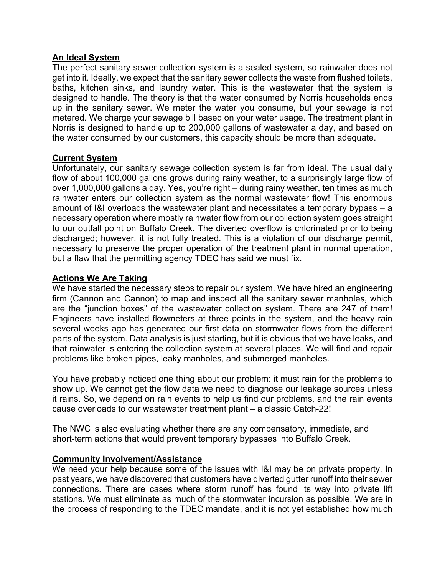### **An Ideal System**

The perfect sanitary sewer collection system is a sealed system, so rainwater does not get into it. Ideally, we expect that the sanitary sewer collects the waste from flushed toilets, baths, kitchen sinks, and laundry water. This is the wastewater that the system is designed to handle. The theory is that the water consumed by Norris households ends up in the sanitary sewer. We meter the water you consume, but your sewage is not metered. We charge your sewage bill based on your water usage. The treatment plant in Norris is designed to handle up to 200,000 gallons of wastewater a day, and based on the water consumed by our customers, this capacity should be more than adequate.

### **Current System**

Unfortunately, our sanitary sewage collection system is far from ideal. The usual daily flow of about 100,000 gallons grows during rainy weather, to a surprisingly large flow of over 1,000,000 gallons a day. Yes, you're right – during rainy weather, ten times as much rainwater enters our collection system as the normal wastewater flow! This enormous amount of I&I overloads the wastewater plant and necessitates a temporary bypass – a necessary operation where mostly rainwater flow from our collection system goes straight to our outfall point on Buffalo Creek. The diverted overflow is chlorinated prior to being discharged; however, it is not fully treated. This is a violation of our discharge permit, necessary to preserve the proper operation of the treatment plant in normal operation, but a flaw that the permitting agency TDEC has said we must fix.

#### **Actions We Are Taking**

We have started the necessary steps to repair our system. We have hired an engineering firm (Cannon and Cannon) to map and inspect all the sanitary sewer manholes, which are the "junction boxes" of the wastewater collection system. There are 247 of them! Engineers have installed flowmeters at three points in the system, and the heavy rain several weeks ago has generated our first data on stormwater flows from the different parts of the system. Data analysis is just starting, but it is obvious that we have leaks, and that rainwater is entering the collection system at several places. We will find and repair problems like broken pipes, leaky manholes, and submerged manholes.

You have probably noticed one thing about our problem: it must rain for the problems to show up. We cannot get the flow data we need to diagnose our leakage sources unless it rains. So, we depend on rain events to help us find our problems, and the rain events cause overloads to our wastewater treatment plant – a classic Catch-22!

The NWC is also evaluating whether there are any compensatory, immediate, and short-term actions that would prevent temporary bypasses into Buffalo Creek.

### **Community Involvement/Assistance**

We need your help because some of the issues with I&I may be on private property. In past years, we have discovered that customers have diverted gutter runoff into their sewer connections. There are cases where storm runoff has found its way into private lift stations. We must eliminate as much of the stormwater incursion as possible. We are in the process of responding to the TDEC mandate, and it is not yet established how much